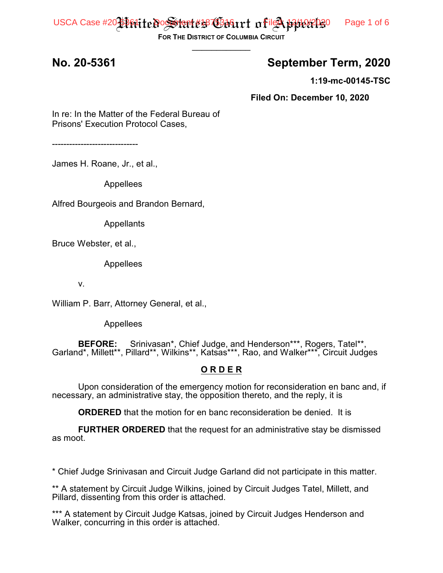USCA Case #20 Firitte Possitent #1870 Biriart of  $\frac{1}{2}$   $\frac{1}{2}$   $\frac{1}{2}$   $\frac{1}{2}$   $\frac{1}{2}$   $\frac{1}{2}$   $\frac{1}{2}$   $\frac{1}{2}$   $\frac{1}{2}$   $\frac{1}{2}$   $\frac{1}{2}$   $\frac{1}{2}$   $\frac{1}{2}$   $\frac{1}{2}$   $\frac{1}{2}$   $\frac{1}{2}$   $\frac{1}{2}$   $\frac$ 

**FOR THE DISTRICT OF COLUMBIA CIRCUIT**  $\overline{\phantom{a}}$ 

#### **No. 20-5361 September Term, 2020**

**1:19-mc-00145-TSC**

**Filed On: December 10, 2020**

In re: In the Matter of the Federal Bureau of Prisons' Execution Protocol Cases,

------------------------------

James H. Roane, Jr., et al.,

Appellees

Alfred Bourgeois and Brandon Bernard,

Appellants

Bruce Webster, et al.,

Appellees

v.

William P. Barr, Attorney General, et al.,

Appellees

**BEFORE:** Srinivasan\*, Chief Judge, and Henderson\*\*\*, Rogers, Tatel\*\*, Garland\*, Millett\*\*, Pillard\*\*, Wilkins\*\*, Katsas\*\*\*, Rao, and Walker\*\*\*, Circuit Judges

#### **O R D E R**

Upon consideration of the emergency motion for reconsideration en banc and, if necessary, an administrative stay, the opposition thereto, and the reply, it is

**ORDERED** that the motion for en banc reconsideration be denied. It is

**FURTHER ORDERED** that the request for an administrative stay be dismissed as moot.

\* Chief Judge Srinivasan and Circuit Judge Garland did not participate in this matter.

\*\* A statement by Circuit Judge Wilkins, joined by Circuit Judges Tatel, Millett, and Pillard, dissenting from this order is attached.

\*\*\* A statement by Circuit Judge Katsas, joined by Circuit Judges Henderson and Walker, concurring in this order is attached.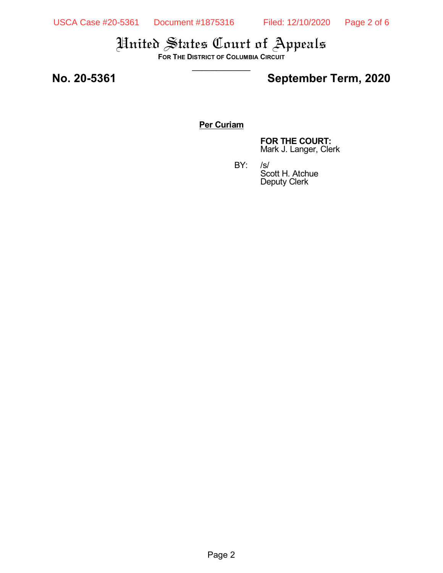**FOR THE DISTRICT OF COLUMBIA CIRCUIT**  $\overline{\phantom{a}}$ 

### **No. 20-5361 September Term, 2020**

#### **Per Curiam**

**FOR THE COURT:** Mark J. Langer, Clerk

Scott H. Atchue Deputy Clerk

BY:

Page 2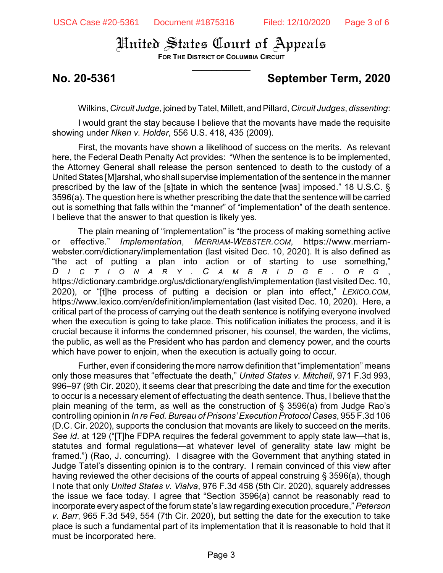**FOR THE DISTRICT OF COLUMBIA CIRCUIT**  $\overline{\phantom{a}}$ 

#### **No. 20-5361 September Term, 2020**

Wilkins, *Circuit Judge*, joined byTatel, Millett, and Pillard, *Circuit Judges*, *dissenting*:

I would grant the stay because I believe that the movants have made the requisite showing under *Nken v. Holder*, 556 U.S. 418, 435 (2009).

First, the movants have shown a likelihood of success on the merits. As relevant here, the Federal Death Penalty Act provides: "When the sentence is to be implemented, the Attorney General shall release the person sentenced to death to the custody of a United States [M]arshal, who shall supervise implementation of the sentence in the manner prescribed by the law of the [s]tate in which the sentence [was] imposed." 18 U.S.C. § 3596(a). The question here is whether prescribing the date that the sentence will be carried out is something that falls within the "manner" of "implementation" of the death sentence. I believe that the answer to that question is likely yes.

The plain meaning of "implementation" is "the process of making something active or effective." *Implementation*, *MERRIAM-WEBSTER.COM*, https://www.merriamwebster.com/dictionary/implementation (last visited Dec. 10, 2020). It is also defined as "the act of putting a plan into action or of starting to use something," *D I C T I O N A R Y . C A M B R I D G E . O R G* , https://dictionary.cambridge.org/us/dictionary/english/implementation (last visited Dec. 10, 2020), or "[t]he process of putting a decision or plan into effect," *LEXICO.COM*, https://www.lexico.com/en/definition/implementation (last visited Dec. 10, 2020). Here, a critical part of the process of carrying out the death sentence is notifying everyone involved when the execution is going to take place. This notification initiates the process, and it is crucial because it informs the condemned prisoner, his counsel, the warden, the victims, the public, as well as the President who has pardon and clemency power, and the courts which have power to enjoin, when the execution is actually going to occur.

Further, even if considering the more narrow definition that "implementation" means only those measures that "effectuate the death," *United States v. Mitchell*, 971 F.3d 993, 996–97 (9th Cir. 2020), it seems clear that prescribing the date and time for the execution to occur is a necessary element of effectuating the death sentence. Thus, I believe that the plain meaning of the term, as well as the construction of § 3596(a) from Judge Rao's controlling opinion in *In re Fed. Bureau of Prisons'Execution Protocol Cases*, 955 F.3d 106 (D.C. Cir. 2020), supports the conclusion that movants are likely to succeed on the merits. *See id*. at 129 ("[T]he FDPA requires the federal government to apply state law—that is, statutes and formal regulations—at whatever level of generality state law might be framed.") (Rao, J. concurring). I disagree with the Government that anything stated in Judge Tatel's dissenting opinion is to the contrary. I remain convinced of this view after having reviewed the other decisions of the courts of appeal construing § 3596(a), though I note that only *United States v. Vialva*, 976 F.3d 458 (5th Cir. 2020), squarely addresses the issue we face today. I agree that "Section 3596(a) cannot be reasonably read to incorporate every aspect of the forum state's law regarding execution procedure," *Peterson v. Barr*, 965 F.3d 549, 554 (7th Cir. 2020), but setting the date for the execution to take place is such a fundamental part of its implementation that it is reasonable to hold that it must be incorporated here.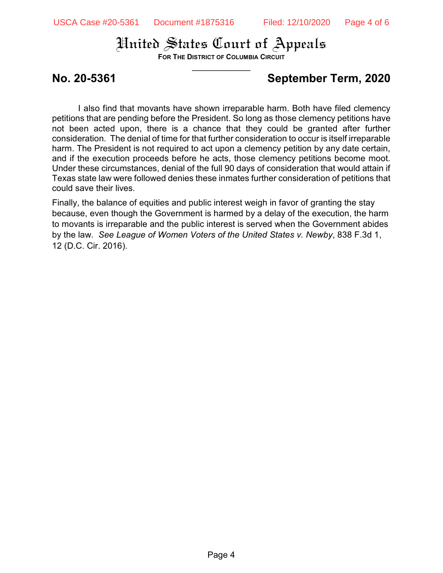**FOR THE DISTRICT OF COLUMBIA CIRCUIT**  $\overline{\phantom{a}}$ 

### **No. 20-5361 September Term, 2020**

I also find that movants have shown irreparable harm. Both have filed clemency petitions that are pending before the President. So long as those clemency petitions have not been acted upon, there is a chance that they could be granted after further consideration. The denial of time for that further consideration to occur is itself irreparable harm. The President is not required to act upon a clemency petition by any date certain, and if the execution proceeds before he acts, those clemency petitions become moot. Under these circumstances, denial of the full 90 days of consideration that would attain if Texas state law were followed denies these inmates further consideration of petitions that could save their lives.

Finally, the balance of equities and public interest weigh in favor of granting the stay because, even though the Government is harmed by a delay of the execution, the harm to movants is irreparable and the public interest is served when the Government abides by the law. *See League of Women Voters of the United States v. Newby*, 838 F.3d 1, 12 (D.C. Cir. 2016).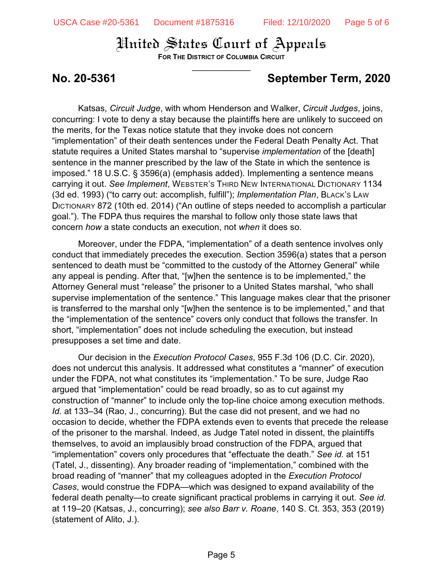**FOR THE DISTRICT OF COLUMBIA CIRCUIT**  $\overline{\phantom{a}}$ 

## **No. 20-5361 September Term, 2020**

Katsas, *Circuit Judge*, with whom Henderson and Walker, *Circuit Judges*, joins, concurring: I vote to deny a stay because the plaintiffs here are unlikely to succeed on the merits, for the Texas notice statute that they invoke does not concern "implementation" of their death sentences under the Federal Death Penalty Act. That statute requires a United States marshal to "supervise *implementation* of the [death] sentence in the manner prescribed by the law of the State in which the sentence is imposed." 18 U.S.C. § 3596(a) (emphasis added). Implementing a sentence means carrying it out. *See Implement*, WEBSTER'S THIRD NEW INTERNATIONAL DICTIONARY 1134 (3d ed. 1993) ("to carry out: accomplish, fulfill"); *Implementation Plan*, BLACK'S LAW DICTIONARY 872 (10th ed. 2014) ("An outline of steps needed to accomplish a particular goal."). The FDPA thus requires the marshal to follow only those state laws that concern *how* a state conducts an execution, not *when* it does so.

Moreover, under the FDPA, "implementation" of a death sentence involves only conduct that immediately precedes the execution. Section 3596(a) states that a person sentenced to death must be "committed to the custody of the Attorney General" while any appeal is pending. After that, "[w]hen the sentence is to be implemented," the Attorney General must "release" the prisoner to a United States marshal, "who shall supervise implementation of the sentence." This language makes clear that the prisoner is transferred to the marshal only "[w]hen the sentence is to be implemented," and that the "implementation of the sentence" covers only conduct that follows the transfer. In short, "implementation" does not include scheduling the execution, but instead presupposes a set time and date.

Our decision in the *Execution Protocol Cases*, 955 F.3d 106 (D.C. Cir. 2020), does not undercut this analysis. It addressed what constitutes a "manner" of execution under the FDPA, not what constitutes its "implementation." To be sure, Judge Rao argued that "implementation" could be read broadly, so as to cut against my construction of "manner" to include only the top-line choice among execution methods. *Id.* at 133–34 (Rao, J., concurring). But the case did not present, and we had no occasion to decide, whether the FDPA extends even to events that precede the release of the prisoner to the marshal. Indeed, as Judge Tatel noted in dissent, the plaintiffs themselves, to avoid an implausibly broad construction of the FDPA, argued that "implementation" covers only procedures that "effectuate the death." *See id.* at 151 (Tatel, J., dissenting). Any broader reading of "implementation," combined with the broad reading of "manner" that my colleagues adopted in the *Execution Protocol Cases*, would construe the FDPA—which was designed to expand availability of the federal death penalty—to create significant practical problems in carrying it out. *See id.* at 119–20 (Katsas, J., concurring); *see also Barr v. Roane*, 140 S. Ct. 353, 353 (2019) (statement of Alito, J.).